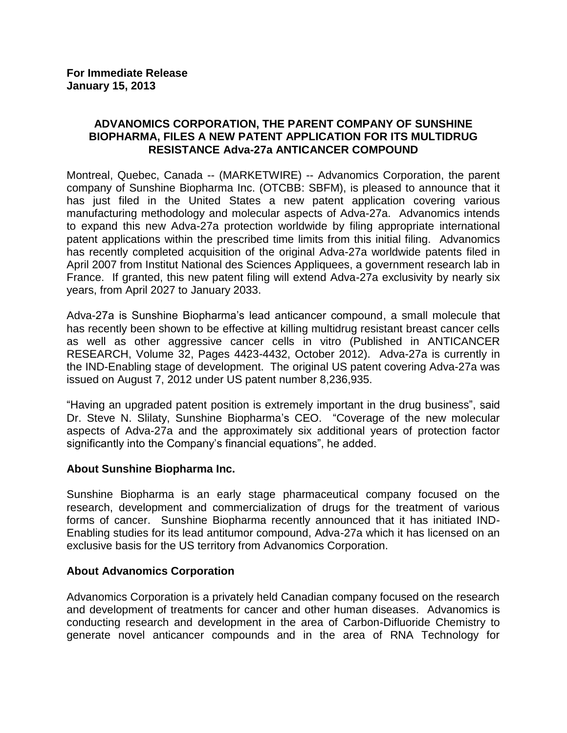## **ADVANOMICS CORPORATION, THE PARENT COMPANY OF SUNSHINE BIOPHARMA, FILES A NEW PATENT APPLICATION FOR ITS MULTIDRUG RESISTANCE Adva-27a ANTICANCER COMPOUND**

Montreal, Quebec, Canada -- (MARKETWIRE) -- Advanomics Corporation, the parent company of Sunshine Biopharma Inc. (OTCBB: SBFM), is pleased to announce that it has just filed in the United States a new patent application covering various manufacturing methodology and molecular aspects of Adva-27a. Advanomics intends to expand this new Adva-27a protection worldwide by filing appropriate international patent applications within the prescribed time limits from this initial filing. Advanomics has recently completed acquisition of the original Adva-27a worldwide patents filed in April 2007 from Institut National des Sciences Appliquees, a government research lab in France. If granted, this new patent filing will extend Adva-27a exclusivity by nearly six years, from April 2027 to January 2033.

Adva-27a is Sunshine Biopharma's lead anticancer compound, a small molecule that has recently been shown to be effective at killing multidrug resistant breast cancer cells as well as other aggressive cancer cells in vitro (Published in ANTICANCER RESEARCH, Volume 32, Pages 4423-4432, October 2012). Adva-27a is currently in the IND-Enabling stage of development. The original US patent covering Adva-27a was issued on August 7, 2012 under US patent number 8,236,935.

"Having an upgraded patent position is extremely important in the drug business", said Dr. Steve N. Slilaty, Sunshine Biopharma's CEO. "Coverage of the new molecular aspects of Adva-27a and the approximately six additional years of protection factor significantly into the Company's financial equations", he added.

## **About Sunshine Biopharma Inc.**

Sunshine Biopharma is an early stage pharmaceutical company focused on the research, development and commercialization of drugs for the treatment of various forms of cancer. Sunshine Biopharma recently announced that it has initiated IND-Enabling studies for its lead antitumor compound, Adva-27a which it has licensed on an exclusive basis for the US territory from Advanomics Corporation.

# **About Advanomics Corporation**

Advanomics Corporation is a privately held Canadian company focused on the research and development of treatments for cancer and other human diseases. Advanomics is conducting research and development in the area of Carbon-Difluoride Chemistry to generate novel anticancer compounds and in the area of RNA Technology for